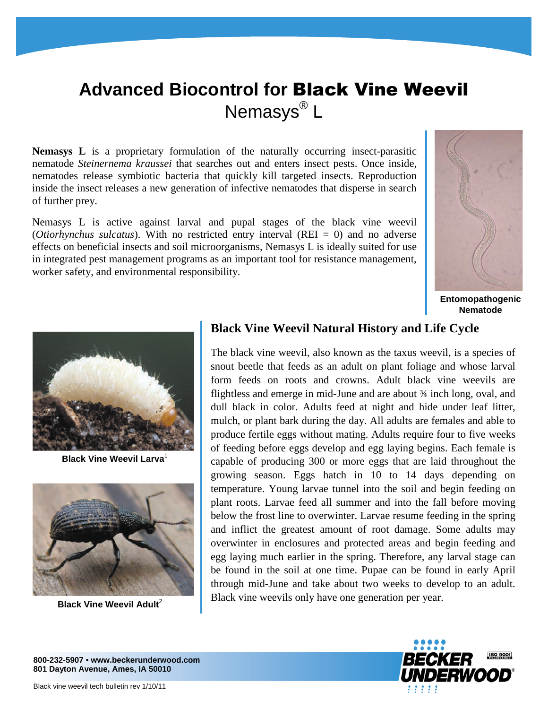# **Advanced Biocontrol for** Black Vine Weevil Nemasys<sup>®</sup> L

**Nemasys L** is a proprietary formulation of the naturally occurring insect-parasitic nematode *Steinernema kraussei* that searches out and enters insect pests. Once inside, nematodes release symbiotic bacteria that quickly kill targeted insects. Reproduction inside the insect releases a new generation of infective nematodes that disperse in search of further prey.

Nemasys L is active against larval and pupal stages of the black vine weevil (*Otiorhynchus sulcatus*). With no restricted entry interval (REI = 0) and no adverse effects on beneficial insects and soil microorganisms, Nemasys L is ideally suited for use in integrated pest management programs as an important tool for resistance management, worker safety, and environmental responsibility.



**Entomopathogenic Nematode** 



**Black Vine Weevil Larva**<sup>1</sup>



**Black Vine Weevil Adult<sup>2</sup>** 

## **Black Vine Weevil Natural History and Life Cycle**

The black vine weevil, also known as the taxus weevil, is a species of snout beetle that feeds as an adult on plant foliage and whose larval form feeds on roots and crowns. Adult black vine weevils are flightless and emerge in mid-June and are about ¾ inch long, oval, and dull black in color. Adults feed at night and hide under leaf litter, mulch, or plant bark during the day. All adults are females and able to produce fertile eggs without mating. Adults require four to five weeks of feeding before eggs develop and egg laying begins. Each female is capable of producing 300 or more eggs that are laid throughout the growing season. Eggs hatch in 10 to 14 days depending on temperature. Young larvae tunnel into the soil and begin feeding on plant roots. Larvae feed all summer and into the fall before moving below the frost line to overwinter. Larvae resume feeding in the spring and inflict the greatest amount of root damage. Some adults may overwinter in enclosures and protected areas and begin feeding and egg laying much earlier in the spring. Therefore, any larval stage can be found in the soil at one time. Pupae can be found in early April through mid-June and take about two weeks to develop to an adult. Black vine weevils only have one generation per year.